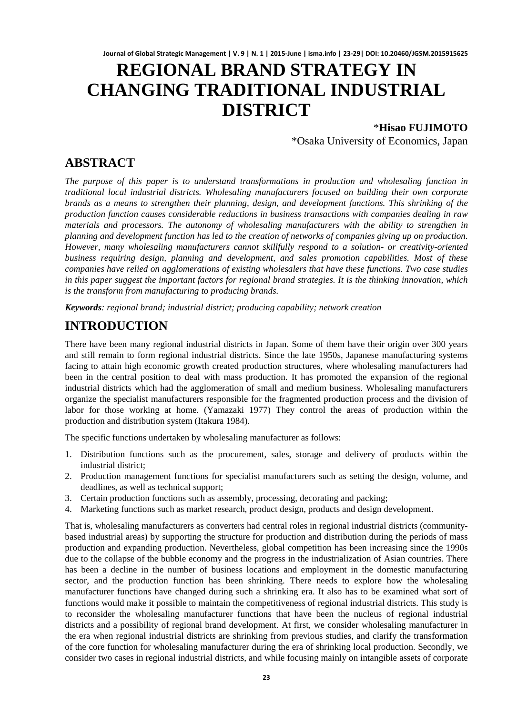# **REGIONAL BRAND STRATEGY IN CHANGING TRADITIONAL INDUSTRIAL DISTRICT**

### \***Hisao FUJIMOTO**

\*Osaka University of Economics, Japan

### **ABSTRACT**

*The purpose of this paper is to understand transformations in production and wholesaling function in traditional local industrial districts. Wholesaling manufacturers focused on building their own corporate brands as a means to strengthen their planning, design, and development functions. This shrinking of the production function causes considerable reductions in business transactions with companies dealing in raw materials and processors. The autonomy of wholesaling manufacturers with the ability to strengthen in planning and development function has led to the creation of networks of companies giving up on production. However, many wholesaling manufacturers cannot skillfully respond to a solution- or creativity-oriented business requiring design, planning and development, and sales promotion capabilities. Most of these companies have relied on agglomerations of existing wholesalers that have these functions. Two case studies in this paper suggest the important factors for regional brand strategies. It is the thinking innovation, which is the transform from manufacturing to producing brands.*

*Keywords: regional brand; industrial district; producing capability; network creation*

### **INTRODUCTION**

There have been many regional industrial districts in Japan. Some of them have their origin over 300 years and still remain to form regional industrial districts. Since the late 1950s, Japanese manufacturing systems facing to attain high economic growth created production structures, where wholesaling manufacturers had been in the central position to deal with mass production. It has promoted the expansion of the regional industrial districts which had the agglomeration of small and medium business. Wholesaling manufacturers organize the specialist manufacturers responsible for the fragmented production process and the division of labor for those working at home. (Yamazaki 1977) They control the areas of production within the production and distribution system (Itakura 1984).

The specific functions undertaken by wholesaling manufacturer as follows:

- 1. Distribution functions such as the procurement, sales, storage and delivery of products within the industrial district;
- 2. Production management functions for specialist manufacturers such as setting the design, volume, and deadlines, as well as technical support;
- 3. Certain production functions such as assembly, processing, decorating and packing;
- 4. Marketing functions such as market research, product design, products and design development.

That is, wholesaling manufacturers as converters had central roles in regional industrial districts (communitybased industrial areas) by supporting the structure for production and distribution during the periods of mass production and expanding production. Nevertheless, global competition has been increasing since the 1990s due to the collapse of the bubble economy and the progress in the industrialization of Asian countries. There has been a decline in the number of business locations and employment in the domestic manufacturing sector, and the production function has been shrinking. There needs to explore how the wholesaling manufacturer functions have changed during such a shrinking era. It also has to be examined what sort of functions would make it possible to maintain the competitiveness of regional industrial districts. This study is to reconsider the wholesaling manufacturer functions that have been the nucleus of regional industrial districts and a possibility of regional brand development. At first, we consider wholesaling manufacturer in the era when regional industrial districts are shrinking from previous studies, and clarify the transformation of the core function for wholesaling manufacturer during the era of shrinking local production. Secondly, we consider two cases in regional industrial districts, and while focusing mainly on intangible assets of corporate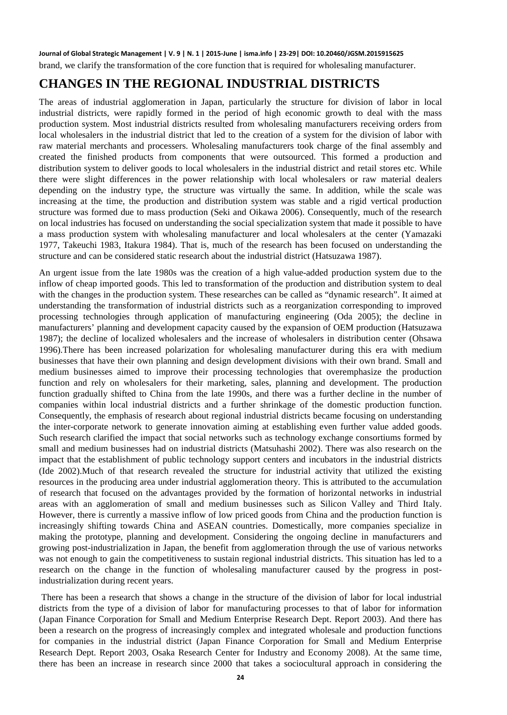**Journal of Global Strategic Management | V. 9 | N. 1 | 2015-June | isma.info | 23-29| DOI: 10.20460/JGSM.2015915625** brand, we clarify the transformation of the core function that is required for wholesaling manufacturer.

## **CHANGES IN THE REGIONAL INDUSTRIAL DISTRICTS**

The areas of industrial agglomeration in Japan, particularly the structure for division of labor in local industrial districts, were rapidly formed in the period of high economic growth to deal with the mass production system. Most industrial districts resulted from wholesaling manufacturers receiving orders from local wholesalers in the industrial district that led to the creation of a system for the division of labor with raw material merchants and processers. Wholesaling manufacturers took charge of the final assembly and created the finished products from components that were outsourced. This formed a production and distribution system to deliver goods to local wholesalers in the industrial district and retail stores etc. While there were slight differences in the power relationship with local wholesalers or raw material dealers depending on the industry type, the structure was virtually the same. In addition, while the scale was increasing at the time, the production and distribution system was stable and a rigid vertical production structure was formed due to mass production (Seki and Oikawa 2006). Consequently, much of the research on local industries has focused on understanding the social specialization system that made it possible to have a mass production system with wholesaling manufacturer and local wholesalers at the center (Yamazaki 1977, Takeuchi 1983, Itakura 1984). That is, much of the research has been focused on understanding the structure and can be considered static research about the industrial district (Hatsuzawa 1987).

An urgent issue from the late 1980s was the creation of a high value-added production system due to the inflow of cheap imported goods. This led to transformation of the production and distribution system to deal with the changes in the production system. These researches can be called as "dynamic research". It aimed at understanding the transformation of industrial districts such as a reorganization corresponding to improved processing technologies through application of manufacturing engineering (Oda 2005); the decline in manufacturers' planning and development capacity caused by the expansion of OEM production (Hatsuzawa 1987); the decline of localized wholesalers and the increase of wholesalers in distribution center (Ohsawa 1996).There has been increased polarization for wholesaling manufacturer during this era with medium businesses that have their own planning and design development divisions with their own brand. Small and medium businesses aimed to improve their processing technologies that overemphasize the production function and rely on wholesalers for their marketing, sales, planning and development. The production function gradually shifted to China from the late 1990s, and there was a further decline in the number of companies within local industrial districts and a further shrinkage of the domestic production function. Consequently, the emphasis of research about regional industrial districts became focusing on understanding the inter-corporate network to generate innovation aiming at establishing even further value added goods. Such research clarified the impact that social networks such as technology exchange consortiums formed by small and medium businesses had on industrial districts (Matsuhashi 2002). There was also research on the impact that the establishment of public technology support centers and incubators in the industrial districts (Ide 2002).Much of that research revealed the structure for industrial activity that utilized the existing resources in the producing area under industrial agglomeration theory. This is attributed to the accumulation of research that focused on the advantages provided by the formation of horizontal networks in industrial areas with an agglomeration of small and medium businesses such as Silicon Valley and Third Italy. However, there is currently a massive inflow of low priced goods from China and the production function is increasingly shifting towards China and ASEAN countries. Domestically, more companies specialize in making the prototype, planning and development. Considering the ongoing decline in manufacturers and growing post-industrialization in Japan, the benefit from agglomeration through the use of various networks was not enough to gain the competitiveness to sustain regional industrial districts. This situation has led to a research on the change in the function of wholesaling manufacturer caused by the progress in postindustrialization during recent years.

There has been a research that shows a change in the structure of the division of labor for local industrial districts from the type of a division of labor for manufacturing processes to that of labor for information (Japan Finance Corporation for Small and Medium Enterprise Research Dept. Report 2003). And there has been a research on the progress of increasingly complex and integrated wholesale and production functions for companies in the industrial district (Japan Finance Corporation for Small and Medium Enterprise Research Dept. Report 2003, Osaka Research Center for Industry and Economy 2008). At the same time, there has been an increase in research since 2000 that takes a sociocultural approach in considering the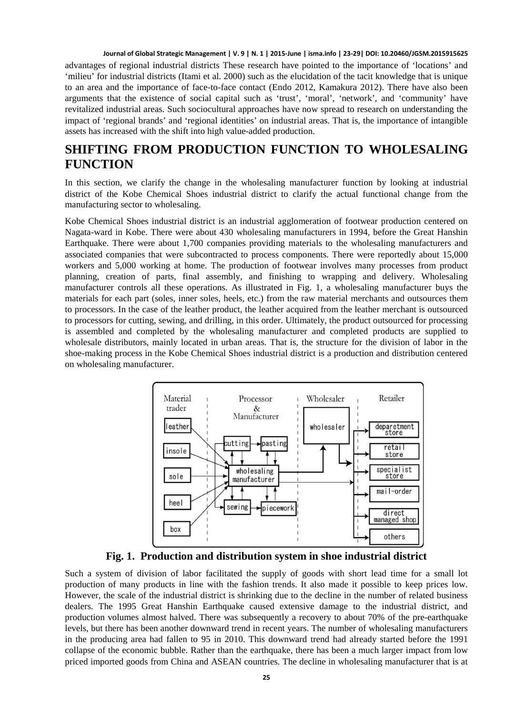#### **Journal of Global Strategic Management | V. 9 | N. 1 | 2015-June | isma.info | 23-29| DOI: 10.20460/JGSM.2015915625**

advantages of regional industrial districts These research have pointed to the importance of 'locations' and 'milieu' for industrial districts (Itami et al. 2000) such as the elucidation of the tacit knowledge that is unique to an area and the importance of face-to-face contact (Endo 2012, Kamakura 2012). There have also been arguments that the existence of social capital such as 'trust', 'moral', 'network', and 'community' have revitalized industrial areas. Such sociocultural approaches have now spread to research on understanding the impact of 'regional brands' and 'regional identities' on industrial areas. That is, the importance of intangible assets has increased with the shift into high value-added production.

## **SHIFTING FROM PRODUCTION FUNCTION TO WHOLESALING FUNCTION**

In this section, we clarify the change in the wholesaling manufacturer function by looking at industrial district of the Kobe Chemical Shoes industrial district to clarify the actual functional change from the manufacturing sector to wholesaling.

Kobe Chemical Shoes industrial district is an industrial agglomeration of footwear production centered on Nagata-ward in Kobe. There were about 430 wholesaling manufacturers in 1994, before the Great Hanshin Earthquake. There were about 1,700 companies providing materials to the wholesaling manufacturers and associated companies that were subcontracted to process components. There were reportedly about 15,000 workers and 5,000 working at home. The production of footwear involves many processes from product planning, creation of parts, final assembly, and finishing to wrapping and delivery. Wholesaling manufacturer controls all these operations. As illustrated in Fig. 1, a wholesaling manufacturer buys the materials for each part (soles, inner soles, heels, etc.) from the raw material merchants and outsources them to processors. In the case of the leather product, the leather acquired from the leather merchant is outsourced to processors for cutting, sewing, and drilling, in this order. Ultimately, the product outsourced for processing is assembled and completed by the wholesaling manufacturer and completed products are supplied to wholesale distributors, mainly located in urban areas. That is, the structure for the division of labor in the shoe-making process in the Kobe Chemical Shoes industrial district is a production and distribution centered on wholesaling manufacturer.



**Fig. 1. Production and distribution system in shoe industrial district**

Such a system of division of labor facilitated the supply of goods with short lead time for a small lot production of many products in line with the fashion trends. It also made it possible to keep prices low. However, the scale of the industrial district is shrinking due to the decline in the number of related business dealers. The 1995 Great Hanshin Earthquake caused extensive damage to the industrial district, and production volumes almost halved. There was subsequently a recovery to about 70% of the pre-earthquake levels, but there has been another downward trend in recent years. The number of wholesaling manufacturers in the producing area had fallen to 95 in 2010. This downward trend had already started before the 1991 collapse of the economic bubble. Rather than the earthquake, there has been a much larger impact from low priced imported goods from China and ASEAN countries. The decline in wholesaling manufacturer that is at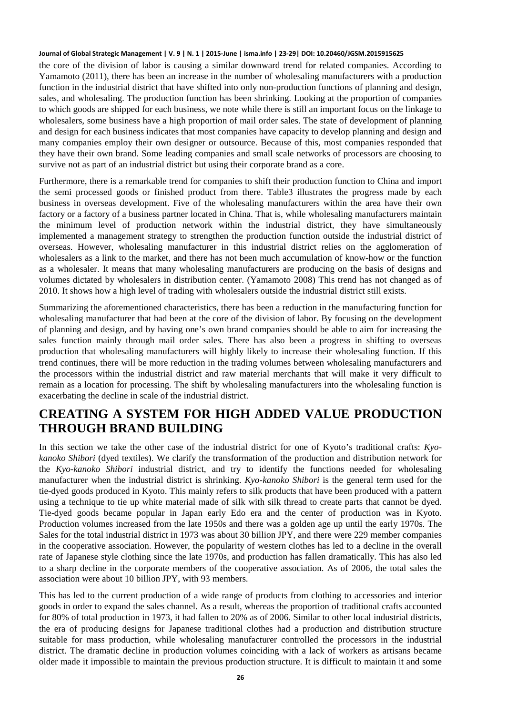#### **Journal of Global Strategic Management | V. 9 | N. 1 | 2015-June | isma.info | 23-29| DOI: 10.20460/JGSM.2015915625**

the core of the division of labor is causing a similar downward trend for related companies. According to Yamamoto (2011), there has been an increase in the number of wholesaling manufacturers with a production function in the industrial district that have shifted into only non-production functions of planning and design, sales, and wholesaling. The production function has been shrinking. Looking at the proportion of companies to which goods are shipped for each business, we note while there is still an important focus on the linkage to wholesalers, some business have a high proportion of mail order sales. The state of development of planning and design for each business indicates that most companies have capacity to develop planning and design and many companies employ their own designer or outsource. Because of this, most companies responded that they have their own brand. Some leading companies and small scale networks of processors are choosing to survive not as part of an industrial district but using their corporate brand as a core.

Furthermore, there is a remarkable trend for companies to shift their production function to China and import the semi processed goods or finished product from there. Table3 illustrates the progress made by each business in overseas development. Five of the wholesaling manufacturers within the area have their own factory or a factory of a business partner located in China. That is, while wholesaling manufacturers maintain the minimum level of production network within the industrial district, they have simultaneously implemented a management strategy to strengthen the production function outside the industrial district of overseas. However, wholesaling manufacturer in this industrial district relies on the agglomeration of wholesalers as a link to the market, and there has not been much accumulation of know-how or the function as a wholesaler. It means that many wholesaling manufacturers are producing on the basis of designs and volumes dictated by wholesalers in distribution center. (Yamamoto 2008) This trend has not changed as of 2010. It shows how a high level of trading with wholesalers outside the industrial district still exists.

Summarizing the aforementioned characteristics, there has been a reduction in the manufacturing function for wholesaling manufacturer that had been at the core of the division of labor. By focusing on the development of planning and design, and by having one's own brand companies should be able to aim for increasing the sales function mainly through mail order sales. There has also been a progress in shifting to overseas production that wholesaling manufacturers will highly likely to increase their wholesaling function. If this trend continues, there will be more reduction in the trading volumes between wholesaling manufacturers and the processors within the industrial district and raw material merchants that will make it very difficult to remain as a location for processing. The shift by wholesaling manufacturers into the wholesaling function is exacerbating the decline in scale of the industrial district.

# **CREATING A SYSTEM FOR HIGH ADDED VALUE PRODUCTION THROUGH BRAND BUILDING**

In this section we take the other case of the industrial district for one of Kyoto's traditional crafts: *Kyokanoko Shibori* (dyed textiles). We clarify the transformation of the production and distribution network for the *Kyo-kanoko Shibori* industrial district, and try to identify the functions needed for wholesaling manufacturer when the industrial district is shrinking. *Kyo-kanoko Shibori* is the general term used for the tie-dyed goods produced in Kyoto. This mainly refers to silk products that have been produced with a pattern using a technique to tie up white material made of silk with silk thread to create parts that cannot be dyed. Tie-dyed goods became popular in Japan early Edo era and the center of production was in Kyoto. Production volumes increased from the late 1950s and there was a golden age up until the early 1970s. The Sales for the total industrial district in 1973 was about 30 billion JPY, and there were 229 member companies in the cooperative association. However, the popularity of western clothes has led to a decline in the overall rate of Japanese style clothing since the late 1970s, and production has fallen dramatically. This has also led to a sharp decline in the corporate members of the cooperative association. As of 2006, the total sales the association were about 10 billion JPY, with 93 members.

This has led to the current production of a wide range of products from clothing to accessories and interior goods in order to expand the sales channel. As a result, whereas the proportion of traditional crafts accounted for 80% of total production in 1973, it had fallen to 20% as of 2006. Similar to other local industrial districts, the era of producing designs for Japanese traditional clothes had a production and distribution structure suitable for mass production, while wholesaling manufacturer controlled the processors in the industrial district. The dramatic decline in production volumes coinciding with a lack of workers as artisans became older made it impossible to maintain the previous production structure. It is difficult to maintain it and some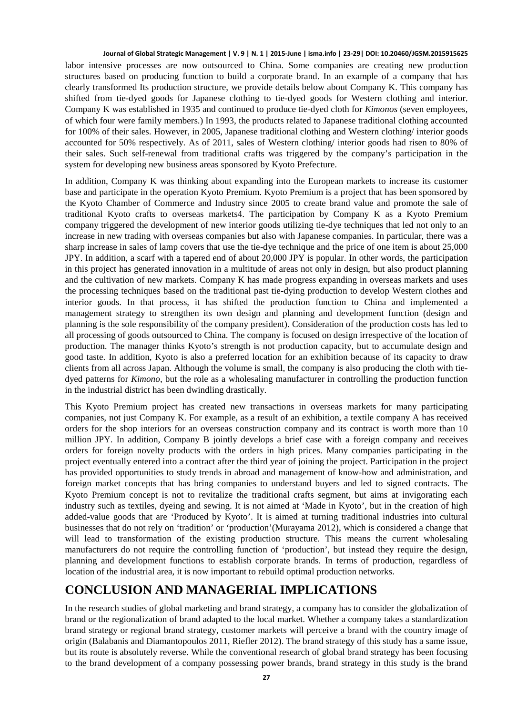#### **Journal of Global Strategic Management | V. 9 | N. 1 | 2015-June | isma.info | 23-29| DOI: 10.20460/JGSM.2015915625**

labor intensive processes are now outsourced to China. Some companies are creating new production structures based on producing function to build a corporate brand. In an example of a company that has clearly transformed Its production structure, we provide details below about Company K. This company has shifted from tie-dyed goods for Japanese clothing to tie-dyed goods for Western clothing and interior. Company K was established in 1935 and continued to produce tie-dyed cloth for *Kimonos* (seven employees, of which four were family members.) In 1993, the products related to Japanese traditional clothing accounted for 100% of their sales. However, in 2005, Japanese traditional clothing and Western clothing/ interior goods accounted for 50% respectively. As of 2011, sales of Western clothing/ interior goods had risen to 80% of their sales. Such self-renewal from traditional crafts was triggered by the company's participation in the system for developing new business areas sponsored by Kyoto Prefecture.

In addition, Company K was thinking about expanding into the European markets to increase its customer base and participate in the operation Kyoto Premium. Kyoto Premium is a project that has been sponsored by the Kyoto Chamber of Commerce and Industry since 2005 to create brand value and promote the sale of traditional Kyoto crafts to overseas markets4. The participation by Company K as a Kyoto Premium company triggered the development of new interior goods utilizing tie-dye techniques that led not only to an increase in new trading with overseas companies but also with Japanese companies. In particular, there was a sharp increase in sales of lamp covers that use the tie-dye technique and the price of one item is about 25,000 JPY. In addition, a scarf with a tapered end of about 20,000 JPY is popular. In other words, the participation in this project has generated innovation in a multitude of areas not only in design, but also product planning and the cultivation of new markets. Company K has made progress expanding in overseas markets and uses the processing techniques based on the traditional past tie-dying production to develop Western clothes and interior goods. In that process, it has shifted the production function to China and implemented a management strategy to strengthen its own design and planning and development function (design and planning is the sole responsibility of the company president). Consideration of the production costs has led to all processing of goods outsourced to China. The company is focused on design irrespective of the location of production. The manager thinks Kyoto's strength is not production capacity, but to accumulate design and good taste. In addition, Kyoto is also a preferred location for an exhibition because of its capacity to draw clients from all across Japan. Although the volume is small, the company is also producing the cloth with tiedyed patterns for *Kimono*, but the role as a wholesaling manufacturer in controlling the production function in the industrial district has been dwindling drastically.

This Kyoto Premium project has created new transactions in overseas markets for many participating companies, not just Company K. For example, as a result of an exhibition, a textile company A has received orders for the shop interiors for an overseas construction company and its contract is worth more than 10 million JPY. In addition, Company B jointly develops a brief case with a foreign company and receives orders for foreign novelty products with the orders in high prices. Many companies participating in the project eventually entered into a contract after the third year of joining the project. Participation in the project has provided opportunities to study trends in abroad and management of know-how and administration, and foreign market concepts that has bring companies to understand buyers and led to signed contracts. The Kyoto Premium concept is not to revitalize the traditional crafts segment, but aims at invigorating each industry such as textiles, dyeing and sewing. It is not aimed at 'Made in Kyoto', but in the creation of high added-value goods that are 'Produced by Kyoto'. It is aimed at turning traditional industries into cultural businesses that do not rely on 'tradition' or 'production'(Murayama 2012), which is considered a change that will lead to transformation of the existing production structure. This means the current wholesaling manufacturers do not require the controlling function of 'production', but instead they require the design, planning and development functions to establish corporate brands. In terms of production, regardless of location of the industrial area, it is now important to rebuild optimal production networks.

### **CONCLUSION AND MANAGERIAL IMPLICATIONS**

In the research studies of global marketing and brand strategy, a company has to consider the globalization of brand or the regionalization of brand adapted to the local market. Whether a company takes a standardization brand strategy or regional brand strategy, customer markets will perceive a brand with the country image of origin (Balabanis and Diamantopoulos 2011, Riefler 2012). The brand strategy of this study has a same issue, but its route is absolutely reverse. While the conventional research of global brand strategy has been focusing to the brand development of a company possessing power brands, brand strategy in this study is the brand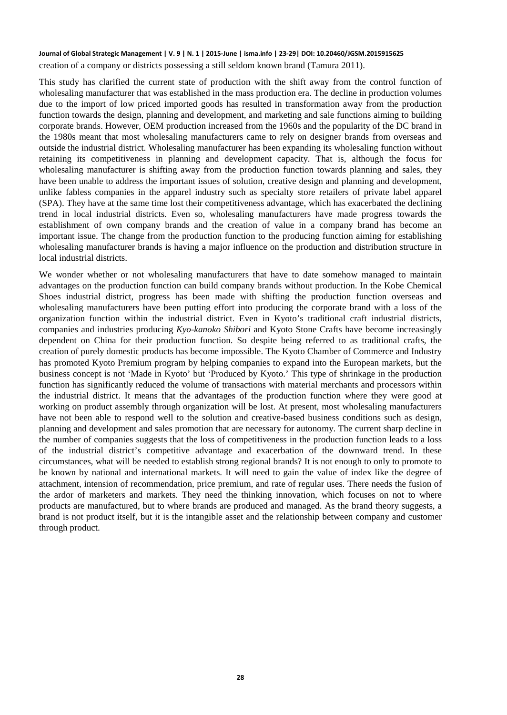#### **Journal of Global Strategic Management | V. 9 | N. 1 | 2015-June | isma.info | 23-29| DOI: 10.20460/JGSM.2015915625** creation of a company or districts possessing a still seldom known brand (Tamura 2011).

This study has clarified the current state of production with the shift away from the control function of wholesaling manufacturer that was established in the mass production era. The decline in production volumes due to the import of low priced imported goods has resulted in transformation away from the production function towards the design, planning and development, and marketing and sale functions aiming to building corporate brands. However, OEM production increased from the 1960s and the popularity of the DC brand in the 1980s meant that most wholesaling manufacturers came to rely on designer brands from overseas and outside the industrial district. Wholesaling manufacturer has been expanding its wholesaling function without retaining its competitiveness in planning and development capacity. That is, although the focus for wholesaling manufacturer is shifting away from the production function towards planning and sales, they have been unable to address the important issues of solution, creative design and planning and development, unlike fabless companies in the apparel industry such as specialty store retailers of private label apparel (SPA). They have at the same time lost their competitiveness advantage, which has exacerbated the declining trend in local industrial districts. Even so, wholesaling manufacturers have made progress towards the establishment of own company brands and the creation of value in a company brand has become an important issue. The change from the production function to the producing function aiming for establishing wholesaling manufacturer brands is having a major influence on the production and distribution structure in local industrial districts.

We wonder whether or not wholesaling manufacturers that have to date somehow managed to maintain advantages on the production function can build company brands without production. In the Kobe Chemical Shoes industrial district, progress has been made with shifting the production function overseas and wholesaling manufacturers have been putting effort into producing the corporate brand with a loss of the organization function within the industrial district. Even in Kyoto's traditional craft industrial districts, companies and industries producing *Kyo-kanoko Shibori* and Kyoto Stone Crafts have become increasingly dependent on China for their production function. So despite being referred to as traditional crafts, the creation of purely domestic products has become impossible. The Kyoto Chamber of Commerce and Industry has promoted Kyoto Premium program by helping companies to expand into the European markets, but the business concept is not 'Made in Kyoto' but 'Produced by Kyoto.' This type of shrinkage in the production function has significantly reduced the volume of transactions with material merchants and processors within the industrial district. It means that the advantages of the production function where they were good at working on product assembly through organization will be lost. At present, most wholesaling manufacturers have not been able to respond well to the solution and creative-based business conditions such as design, planning and development and sales promotion that are necessary for autonomy. The current sharp decline in the number of companies suggests that the loss of competitiveness in the production function leads to a loss of the industrial district's competitive advantage and exacerbation of the downward trend. In these circumstances, what will be needed to establish strong regional brands? It is not enough to only to promote to be known by national and international markets. It will need to gain the value of index like the degree of attachment, intension of recommendation, price premium, and rate of regular uses. There needs the fusion of the ardor of marketers and markets. They need the thinking innovation, which focuses on not to where products are manufactured, but to where brands are produced and managed. As the brand theory suggests, a brand is not product itself, but it is the intangible asset and the relationship between company and customer through product.